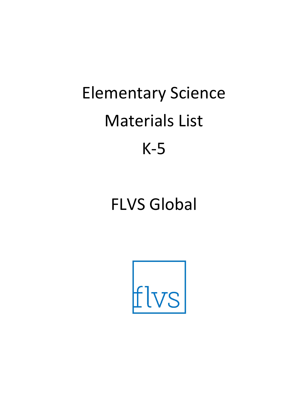# Elementary Science Materials List K-5

## FLVS Global

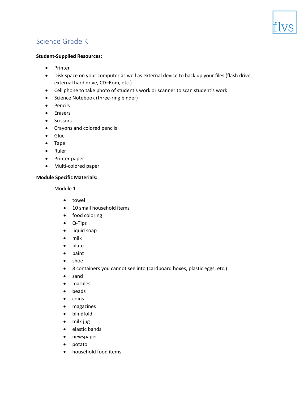

### **Student-Supplied Resources:**

- Printer
- Disk space on your computer as well as external device to back up your files (flash drive, external hard drive, CD–Rom, etc.)
- Cell phone to take photo of student's work or scanner to scan student's work
- Science Notebook (three-ring binder)
- Pencils
- Erasers
- Scissors
- Crayons and colored pencils
- Glue
- Tape
- Ruler
- Printer paper
- Multi-colored paper

### **Module Specific Materials:**

- towel
- 10 small household items
- food coloring
- Q-Tips
- liquid soap
- milk
- plate
- paint
- shoe
- 8 containers you cannot see into (cardboard boxes, plastic eggs, etc.)
- sand
- marbles
- beads
- coins
- magazines
- blindfold
- milk jug
- elastic bands
- newspaper
- potato
- household food items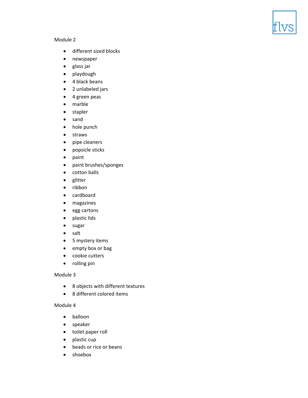

- different sized blocks
- newspaper
- glass jar
- playdough
- 4 black beans
- 2 unlabeled jars
- 4 green peas
- marble
- stapler
- sand
- hole punch
- straws
- pipe cleaners
- popsicle sticks
- paint
- paint brushes/sponges
- cotton balls
- glitter
- ribbon
- cardboard
- magazines
- egg cartons
- plastic lids
- sugar
- salt
- 5 mystery items
- empty box or bag
- cookie cutters
- rolling pin

### Module 3

- 8 objects with different textures
- 8 different colored items

- balloon
- speaker
- toilet paper roll
- plastic cup
- beads or rice or beans
- shoebox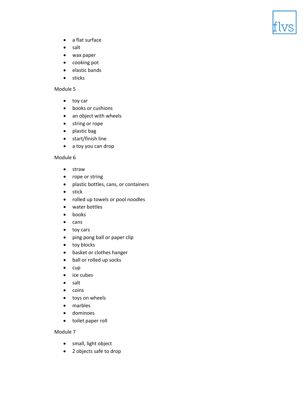

- a flat surface
- salt
- wax paper
- cooking pot
- elastic bands
- sticks

- toy car
- books or cushions
- an object with wheels
- string or rope
- plastic bag
- start/finish line
- a toy you can drop

### Module 6

- straw
- rope or string
- plastic bottles, cans, or containers
- stick
- rolled up towels or pool noodles
- water bottles
- books
- cans
- toy cars
- ping pong ball or paper clip
- toy blocks
- basket or clothes hanger
- ball or rolled up socks
- cup
- ice cubes
- salt
- coins
- toys on wheels
- marbles
- dominoes
- toilet paper roll

- small, light object
- 2 objects safe to drop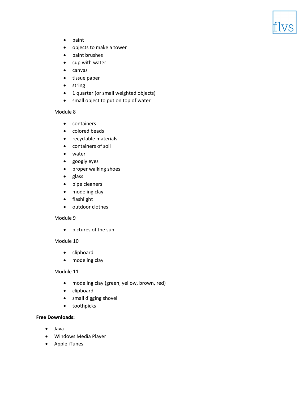

- paint
- objects to make a tower
- paint brushes
- cup with water
- canvas
- tissue paper
- string
- 1 quarter (or small weighted objects)
- small object to put on top of water

- containers
- colored beads
- recyclable materials
- containers of soil
- water
- googly eyes
- proper walking shoes
- glass
- pipe cleaners
- modeling clay
- flashlight
- outdoor clothes

### Module 9

• pictures of the sun

### Module 10

- clipboard
- modeling clay

### Module 11

- modeling clay (green, yellow, brown, red)
- clipboard
- small digging shovel
- toothpicks

- Java
- Windows Media Player
- Apple iTunes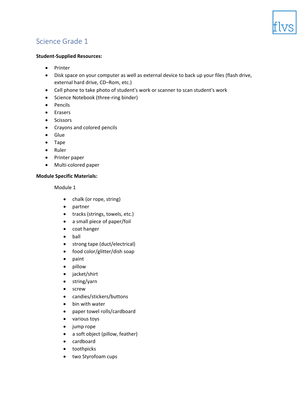

### **Student-Supplied Resources:**

- Printer
- Disk space on your computer as well as external device to back up your files (flash drive, external hard drive, CD–Rom, etc.)
- Cell phone to take photo of student's work or scanner to scan student's work
- Science Notebook (three-ring binder)
- Pencils
- Erasers
- Scissors
- Crayons and colored pencils
- Glue
- Tape
- Ruler
- Printer paper
- Multi-colored paper

### **Module Specific Materials:**

- chalk (or rope, string)
- partner
- tracks (strings, towels, etc.)
- a small piece of paper/foil
- coat hanger
- ball
- strong tape (duct/electrical)
- food color/glitter/dish soap
- paint
- pillow
- jacket/shirt
- string/yarn
- screw
- candies/stickers/buttons
- bin with water
- paper towel rolls/cardboard
- various toys
- jump rope
- a soft object (pillow, feather)
- cardboard
- toothpicks
- two Styrofoam cups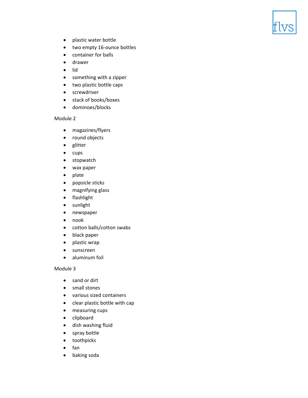- plastic water bottle
- two empty 16-ounce bottles
- container for balls
- drawer
- lid
- something with a zipper
- two plastic bottle caps
- screwdriver
- stack of books/boxes
- dominoes/blocks

- magazines/flyers
- round objects
- glitter
- cups
- stopwatch
- wax paper
- plate
- popsicle sticks
- magnifying glass
- flashlight
- sunlight
- newspaper
- nook
- cotton balls/cotton swabs
- black paper
- plastic wrap
- sunscreen
- aluminum foil

- sand or dirt
- small stones
- various sized containers
- clear plastic bottle with cap
- measuring cups
- clipboard
- dish washing fluid
- spray bottle
- toothpicks
- fan
- baking soda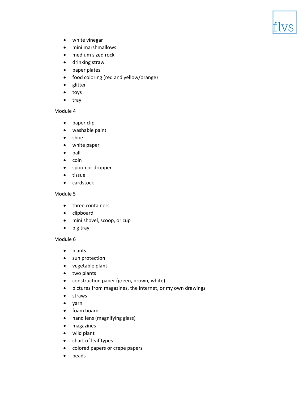

- white vinegar
- mini marshmallows
- medium sized rock
- drinking straw
- paper plates
- food coloring (red and yellow/orange)
- glitter
- toys
- tray

- paper clip
- washable paint
- shoe
- white paper
- ball
- coin
- spoon or dropper
- tissue
- cardstock

### Module 5

- three containers
- clipboard
- mini shovel, scoop, or cup
- big tray

- plants
- sun protection
- vegetable plant
- two plants
- construction paper (green, brown, white)
- pictures from magazines, the internet, or my own drawings
- straws
- yarn
- foam board
- hand lens (magnifying glass)
- magazines
- wild plant
- chart of leaf types
- colored papers or crepe papers
- beads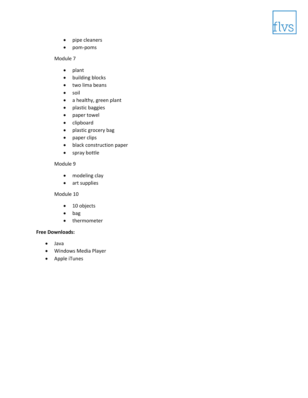

- pipe cleaners
- pom-poms

- plant
- building blocks
- two lima beans
- soil
- a healthy, green plant
- plastic baggies
- paper towel
- clipboard
- plastic grocery bag
- paper clips
- black construction paper
- spray bottle

### Module 9

- modeling clay
- art supplies

### Module 10

- 10 objects
- bag
- thermometer

- Java
- Windows Media Player
- Apple iTunes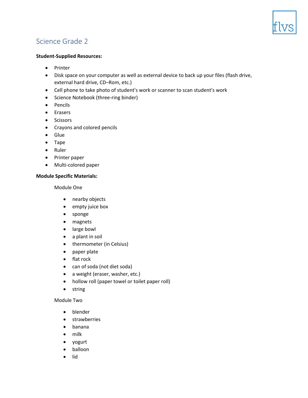

### **Student-Supplied Resources:**

- Printer
- Disk space on your computer as well as external device to back up your files (flash drive, external hard drive, CD–Rom, etc.)
- Cell phone to take photo of student's work or scanner to scan student's work
- Science Notebook (three-ring binder)
- Pencils
- Erasers
- Scissors
- Crayons and colored pencils
- Glue
- Tape
- Ruler
- Printer paper
- Multi-colored paper

### **Module Specific Materials:**

Module One

- nearby objects
- empty juice box
- sponge
- magnets
- large bowl
- a plant in soil
- thermometer (in Celsius)
- paper plate
- flat rock
- can of soda (not diet soda)
- a weight (eraser, washer, etc.)
- hollow roll (paper towel or toilet paper roll)
- string

### Module Two

- blender
- strawberries
- banana
- milk
- yogurt
- balloon
- lid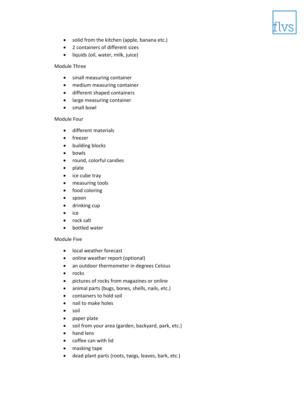- solid from the kitchen (apple, banana etc.)
- 2 containers of different sizes
- liquids (oil, water, milk, juice)

### Module Three

- small measuring container
- medium measuring container
- different shaped containers
- large measuring container
- small bowl

### Module Four

- different materials
- freezer
- building blocks
- bowls
- round, colorful candies
- plate
- ice cube tray
- measuring tools
- food coloring
- spoon
- drinking cup
- ice
- rock salt
- bottled water

### Module Five

- local weather forecast
- online weather report (optional)
- an outdoor thermometer in degrees Celsius
- rocks
- pictures of rocks from magazines or online
- animal parts (bugs, bones, shells, nails, etc.)
- containers to hold soil
- nail to make holes
- soil
- paper plate
- soil from your area (garden, backyard, park, etc.)
- hand lens
- coffee can with lid
- masking tape
- dead plant parts (roots, twigs, leaves, bark, etc.)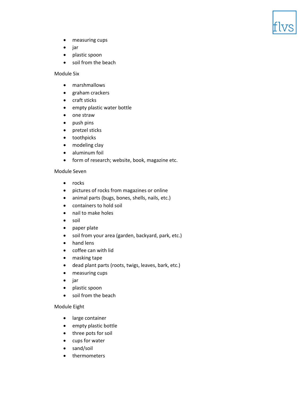

- measuring cups
- jar
- plastic spoon
- soil from the beach

### Module Six

- marshmallows
- graham crackers
- craft sticks
- empty plastic water bottle
- one straw
- push pins
- pretzel sticks
- toothpicks
- modeling clay
- aluminum foil
- form of research; website, book, magazine etc.

### Module Seven

- rocks
- pictures of rocks from magazines or online
- animal parts (bugs, bones, shells, nails, etc.)
- containers to hold soil
- nail to make holes
- soil
- paper plate
- soil from your area (garden, backyard, park, etc.)
- hand lens
- coffee can with lid
- masking tape
- dead plant parts (roots, twigs, leaves, bark, etc.)
- measuring cups
- jar
- plastic spoon
- soil from the beach

### Module Eight

- large container
- empty plastic bottle
- three pots for soil
- cups for water
- sand/soil
- thermometers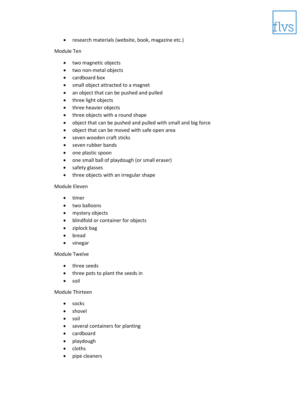

• research materials (website, book, magazine etc.)

### Module Ten

- two magnetic objects
- two non-metal objects
- cardboard box
- small object attracted to a magnet
- an object that can be pushed and pulled
- three light objects
- three heavier objects
- three objects with a round shape
- object that can be pushed and pulled with small and big force
- object that can be moved with safe open area
- seven wooden craft sticks
- seven rubber bands
- one plastic spoon
- one small ball of playdough (or small eraser)
- safety glasses
- three objects with an irregular shape

### Module Eleven

- timer
- two balloons
- mystery objects
- blindfold or container for objects
- ziplock bag
- bread
- vinegar

### Module Twelve

- three seeds
- three pots to plant the seeds in
- soil

### Module Thirteen

- socks
- shovel
- soil
- several containers for planting
- cardboard
- playdough
- cloths
- pipe cleaners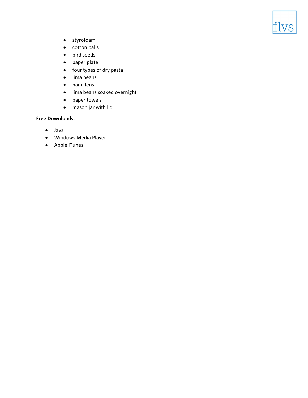

- styrofoam
- cotton balls
- bird seeds
- paper plate
- four types of dry pasta
- lima beans
- hand lens
- lima beans soaked overnight
- paper towels
- mason jar with lid

- Java
- Windows Media Player
- Apple iTunes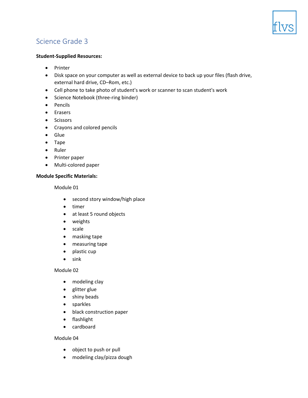

### **Student-Supplied Resources:**

- Printer
- Disk space on your computer as well as external device to back up your files (flash drive, external hard drive, CD–Rom, etc.)
- Cell phone to take photo of student's work or scanner to scan student's work
- Science Notebook (three-ring binder)
- Pencils
- Erasers
- Scissors
- Crayons and colored pencils
- Glue
- Tape
- Ruler
- Printer paper
- Multi-colored paper

### **Module Specific Materials:**

Module 01

- second story window/high place
- timer
- at least 5 round objects
- weights
- scale
- masking tape
- measuring tape
- plastic cup
- sink

Module 02

- modeling clay
- glitter glue
- shiny beads
- sparkles
- black construction paper
- flashlight
- cardboard

- object to push or pull
- modeling clay/pizza dough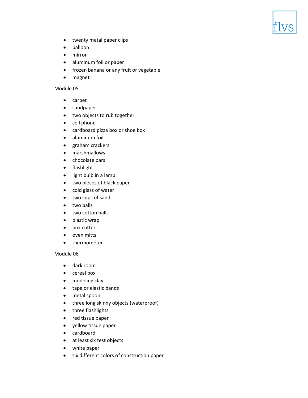- twenty metal paper clips
- balloon
- mirror
- aluminum foil or paper
- frozen banana or any fruit or vegetable
- magnet

- carpet
- sandpaper
- two objects to rub together
- cell phone
- cardboard pizza box or shoe box
- aluminum foil
- graham crackers
- marshmallows
- chocolate bars
- flashlight
- light bulb in a lamp
- two pieces of black paper
- cold glass of water
- two cups of sand
- two balls
- two cotton balls
- plastic wrap
- box cutter
- oven mitts
- thermometer

- dark room
- cereal box
- modeling clay
- tape or elastic bands
- metal spoon
- three long skinny objects (waterproof)
- three flashlights
- red tissue paper
- yellow tissue paper
- cardboard
- at least six test objects
- white paper
- six different colors of construction paper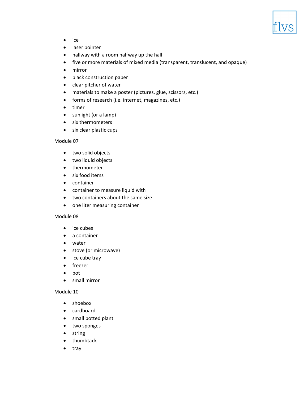

- ice
- laser pointer
- hallway with a room halfway up the hall
- five or more materials of mixed media (transparent, translucent, and opaque)
- mirror
- black construction paper
- clear pitcher of water
- materials to make a poster (pictures, glue, scissors, etc.)
- forms of research (i.e. internet, magazines, etc.)
- timer
- sunlight (or a lamp)
- six thermometers
- six clear plastic cups

- two solid objects
- two liquid objects
- thermometer
- six food items
- container
- container to measure liquid with
- two containers about the same size
- one liter measuring container

### Module 08

- ice cubes
- a container
- water
- stove (or microwave)
- ice cube tray
- freezer
- pot
- small mirror

- shoebox
- cardboard
- small potted plant
- two sponges
- string
- thumbtack
- tray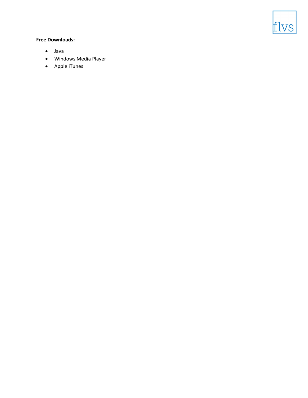

- Java
- Windows Media Player
- Apple iTunes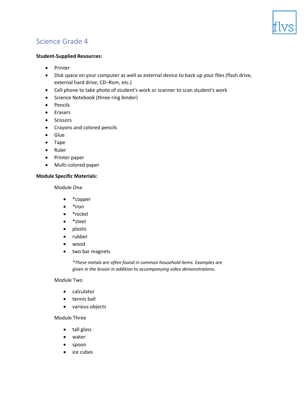

### **Student-Supplied Resources:**

- Printer
- Disk space on your computer as well as external device to back up your files (flash drive, external hard drive, CD–Rom, etc.)
- Cell phone to take photo of student's work or scanner to scan student's work
- Science Notebook (three-ring binder)
- Pencils
- Erasers
- Scissors
- Crayons and colored pencils
- Glue
- Tape
- Ruler
- Printer paper
- Multi-colored paper

### **Module Specific Materials:**

Module One

- \*copper
- \*iron
- \*nickel
- \*steel
- plastic
- rubber
- wood
- two bar magnets

*\*These metals are often found in common household items. Examples are given in the lesson in addition to accompanying video demonstrations.*

### Module Two

- calculator
- tennis ball
- various objects

### Module Three

- tall glass
- water
- spoon
- ice cubes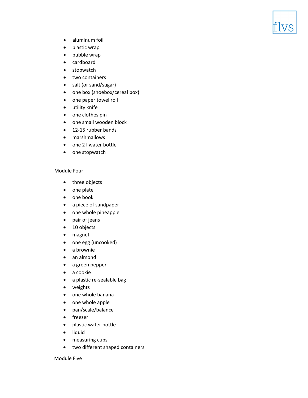

- aluminum foil
- plastic wrap
- bubble wrap
- cardboard
- stopwatch
- two containers
- salt (or sand/sugar)
- one box (shoebox/cereal box)
- one paper towel roll
- utility knife
- one clothes pin
- one small wooden block
- 12-15 rubber bands
- marshmallows
- one 2 l water bottle
- one stopwatch

### Module Four

- three objects
- one plate
- one book
- a piece of sandpaper
- one whole pineapple
- pair of jeans
- 10 objects
- magnet
- one egg (uncooked)
- a brownie
- an almond
- a green pepper
- a cookie
- a plastic re-sealable bag
- weights
- one whole banana
- one whole apple
- pan/scale/balance
- freezer
- plastic water bottle
- liquid
- measuring cups
- two different shaped containers

### Module Five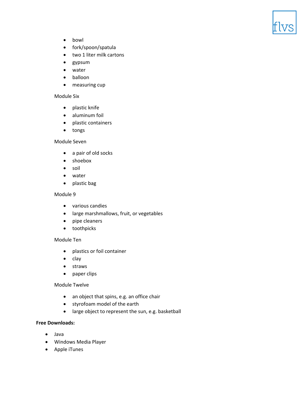

- bowl
- fork/spoon/spatula
- two 1 liter milk cartons
- gypsum
- water
- balloon
- measuring cup

#### Module Six

- plastic knife
- aluminum foil
- plastic containers
- tongs

### Module Seven

- a pair of old socks
- shoebox
- soil
- water
- plastic bag

### Module 9

- various candies
- large marshmallows, fruit, or vegetables
- pipe cleaners
- toothpicks

### Module Ten

- plastics or foil container
- clay
- straws
- paper clips

### Module Twelve

- an object that spins, e.g. an office chair
- styrofoam model of the earth
- large object to represent the sun, e.g. basketball

- Java
- Windows Media Player
- Apple iTunes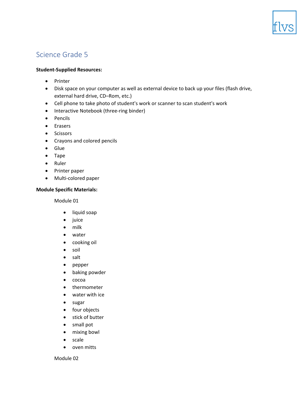

### **Student-Supplied Resources:**

- Printer
- Disk space on your computer as well as external device to back up your files (flash drive, external hard drive, CD–Rom, etc.)
- Cell phone to take photo of student's work or scanner to scan student's work
- Interactive Notebook (three-ring binder)
- Pencils
- Erasers
- Scissors
- Crayons and colored pencils
- Glue
- Tape
- Ruler
- Printer paper
- Multi-colored paper

### **Module Specific Materials:**

Module 01

- liquid soap
- juice
- milk
- water
- cooking oil
- soil
- salt
- pepper
- baking powder
- cocoa
- thermometer
- water with ice
- sugar
- four objects
- stick of butter
- small pot
- mixing bowl
- scale
- oven mitts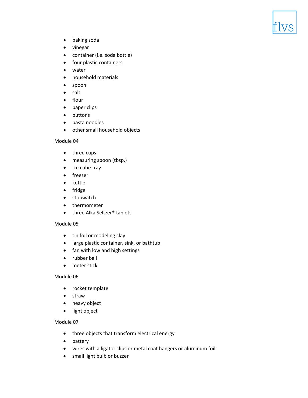

- baking soda
- vinegar
- container (i.e. soda bottle)
- four plastic containers
- water
- household materials
- spoon
- salt
- flour
- paper clips
- buttons
- pasta noodles
- other small household objects

- three cups
- measuring spoon (tbsp.)
- ice cube tray
- freezer
- kettle
- fridge
- stopwatch
- thermometer
- three Alka Seltzer<sup>®</sup> tablets

### Module 05

- tin foil or modeling clay
- large plastic container, sink, or bathtub
- fan with low and high settings
- rubber ball
- meter stick

### Module 06

- rocket template
- straw
- heavy object
- light object

- three objects that transform electrical energy
- battery
- wires with alligator clips or metal coat hangers or aluminum foil
- small light bulb or buzzer